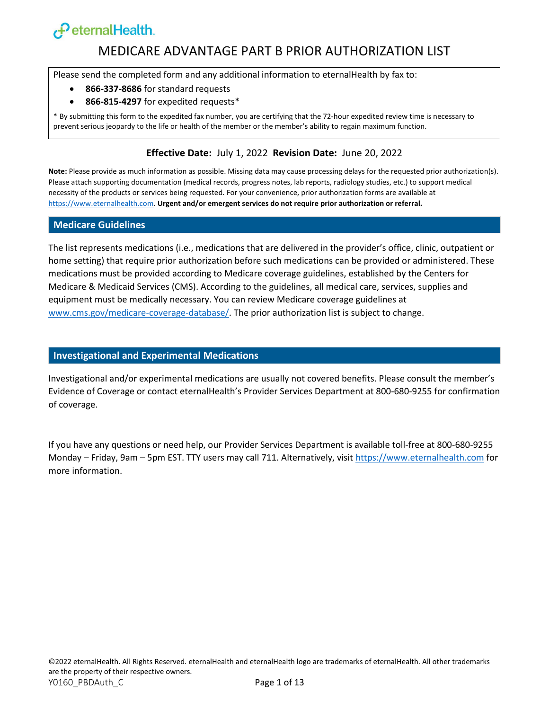# $\epsilon$ PeternalHealth.

#### MEDICARE ADVANTAGE PART B PRIOR AUTHORIZATION LIST

Please send the completed form and any additional information to eternalHealth by fax to:

- **866-337-8686** for standard requests
- **866-815-4297** for expedited requests\*

\* By submitting this form to the expedited fax number, you are certifying that the 72-hour expedited review time is necessary to prevent serious jeopardy to the life or health of the member or the member's ability to regain maximum function.

#### **Effective Date:** July 1, 2022 **Revision Date:** June 20, 2022

**Note:** Please provide as much information as possible. Missing data may cause processing delays for the requested prior authorization(s). Please attach supporting documentation (medical records, progress notes, lab reports, radiology studies, etc.) to support medical necessity of the products or services being requested. For your convenience, prior authorization forms are available at [https://www.eternalhealth.com.](https://www.eternalhealth.com/) **Urgent and/or emergent services do not require prior authorization or referral.**

#### **Medicare Guidelines**

The list represents medications (i.e., medications that are delivered in the provider's office, clinic, outpatient or home setting) that require prior authorization before such medications can be provided or administered. These medications must be provided according to Medicare coverage guidelines, established by the Centers for Medicare & Medicaid Services (CMS). According to the guidelines, all medical care, services, supplies and equipment must be medically necessary. You can review Medicare coverage guidelines at [www.cms.gov/medicare-coverage-database/.](http://www.cms.gov/medicare-coverage-database/) The prior authorization list is subject to change.

#### **Investigational and Experimental Medications**

Investigational and/or experimental medications are usually not covered benefits. Please consult the member's Evidence of Coverage or contact eternalHealth's Provider Services Department at 800-680-9255 for confirmation of coverage.

If you have any questions or need help, our Provider Services Department is available toll-free at 800-680-9255 Monday – Friday, 9am – 5pm EST. TTY users may call 711. Alternatively, visi[t https://www.eternalhealth.com](https://www.eternalhealth.com/) for more information.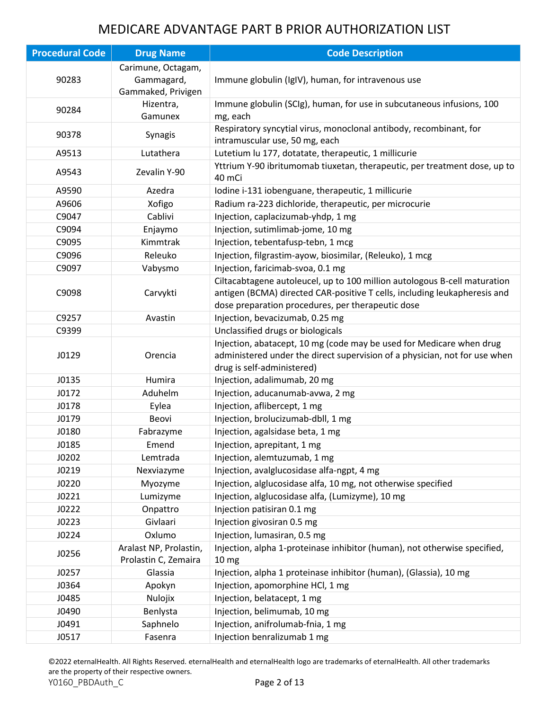| <b>Procedural Code</b> | <b>Drug Name</b>                                       | <b>Code Description</b>                                                                                                                                                                                     |
|------------------------|--------------------------------------------------------|-------------------------------------------------------------------------------------------------------------------------------------------------------------------------------------------------------------|
| 90283                  | Carimune, Octagam,<br>Gammagard,<br>Gammaked, Privigen | Immune globulin (IgIV), human, for intravenous use                                                                                                                                                          |
| 90284                  | Hizentra,<br>Gamunex                                   | Immune globulin (SCIg), human, for use in subcutaneous infusions, 100<br>mg, each                                                                                                                           |
| 90378                  | Synagis                                                | Respiratory syncytial virus, monoclonal antibody, recombinant, for<br>intramuscular use, 50 mg, each                                                                                                        |
| A9513                  | Lutathera                                              | Lutetium lu 177, dotatate, therapeutic, 1 millicurie                                                                                                                                                        |
| A9543                  | Zevalin Y-90                                           | Yttrium Y-90 ibritumomab tiuxetan, therapeutic, per treatment dose, up to<br>40 mCi                                                                                                                         |
| A9590                  | Azedra                                                 | Iodine i-131 iobenguane, therapeutic, 1 millicurie                                                                                                                                                          |
| A9606                  | Xofigo                                                 | Radium ra-223 dichloride, therapeutic, per microcurie                                                                                                                                                       |
| C9047                  | Cablivi                                                | Injection, caplacizumab-yhdp, 1 mg                                                                                                                                                                          |
| C9094                  | Enjaymo                                                | Injection, sutimlimab-jome, 10 mg                                                                                                                                                                           |
| C9095                  | Kimmtrak                                               | Injection, tebentafusp-tebn, 1 mcg                                                                                                                                                                          |
| C9096                  | Releuko                                                | Injection, filgrastim-ayow, biosimilar, (Releuko), 1 mcg                                                                                                                                                    |
| C9097                  | Vabysmo                                                | Injection, faricimab-svoa, 0.1 mg                                                                                                                                                                           |
| C9098                  | Carvykti                                               | Ciltacabtagene autoleucel, up to 100 million autologous B-cell maturation<br>antigen (BCMA) directed CAR-positive T cells, including leukapheresis and<br>dose preparation procedures, per therapeutic dose |
| C9257                  | Avastin                                                | Injection, bevacizumab, 0.25 mg                                                                                                                                                                             |
| C9399                  |                                                        | Unclassified drugs or biologicals                                                                                                                                                                           |
| J0129                  | Orencia                                                | Injection, abatacept, 10 mg (code may be used for Medicare when drug<br>administered under the direct supervision of a physician, not for use when<br>drug is self-administered)                            |
| J0135                  | Humira                                                 | Injection, adalimumab, 20 mg                                                                                                                                                                                |
| J0172                  | Aduhelm                                                | Injection, aducanumab-avwa, 2 mg                                                                                                                                                                            |
| J0178                  | Eylea                                                  | Injection, aflibercept, 1 mg                                                                                                                                                                                |
| J0179                  | Beovi                                                  | Injection, brolucizumab-dbll, 1 mg                                                                                                                                                                          |
| J0180                  | Fabrazyme                                              | Injection, agalsidase beta, 1 mg                                                                                                                                                                            |
| J0185                  | Emend                                                  | Injection, aprepitant, 1 mg                                                                                                                                                                                 |
| J0202                  | Lemtrada                                               | Injection, alemtuzumab, 1 mg                                                                                                                                                                                |
| J0219                  | Nexviazyme                                             | Injection, avalglucosidase alfa-ngpt, 4 mg                                                                                                                                                                  |
| J0220                  | Myozyme                                                | Injection, alglucosidase alfa, 10 mg, not otherwise specified                                                                                                                                               |
| J0221                  | Lumizyme                                               | Injection, alglucosidase alfa, (Lumizyme), 10 mg                                                                                                                                                            |
| J0222                  | Onpattro                                               | Injection patisiran 0.1 mg                                                                                                                                                                                  |
| J0223                  | Givlaari                                               | Injection givosiran 0.5 mg                                                                                                                                                                                  |
| J0224                  | Oxlumo                                                 | Injection, lumasiran, 0.5 mg                                                                                                                                                                                |
| J0256                  | Aralast NP, Prolastin,<br>Prolastin C, Zemaira         | Injection, alpha 1-proteinase inhibitor (human), not otherwise specified,<br>10 <sub>mg</sub>                                                                                                               |
| J0257                  | Glassia                                                | Injection, alpha 1 proteinase inhibitor (human), (Glassia), 10 mg                                                                                                                                           |
| J0364                  | Apokyn                                                 | Injection, apomorphine HCl, 1 mg                                                                                                                                                                            |
| J0485                  | Nulojix                                                | Injection, belatacept, 1 mg                                                                                                                                                                                 |
| J0490                  | Benlysta                                               | Injection, belimumab, 10 mg                                                                                                                                                                                 |
| J0491                  | Saphnelo                                               | Injection, anifrolumab-fnia, 1 mg                                                                                                                                                                           |
| J0517                  | Fasenra                                                | Injection benralizumab 1 mg                                                                                                                                                                                 |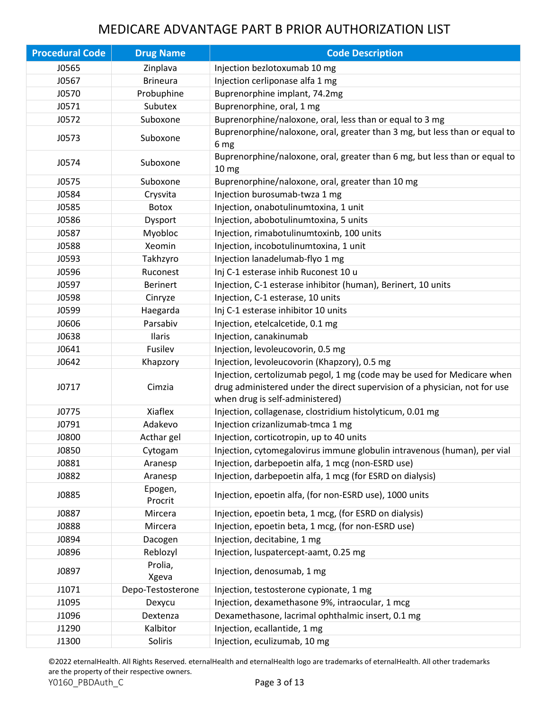| <b>Procedural Code</b> | <b>Drug Name</b>   | <b>Code Description</b>                                                                                                                                                                  |
|------------------------|--------------------|------------------------------------------------------------------------------------------------------------------------------------------------------------------------------------------|
| J0565                  | Zinplava           | Injection bezlotoxumab 10 mg                                                                                                                                                             |
| J0567                  | <b>Brineura</b>    | Injection cerliponase alfa 1 mg                                                                                                                                                          |
| J0570                  | Probuphine         | Buprenorphine implant, 74.2mg                                                                                                                                                            |
| J0571                  | Subutex            | Buprenorphine, oral, 1 mg                                                                                                                                                                |
| J0572                  | Suboxone           | Buprenorphine/naloxone, oral, less than or equal to 3 mg                                                                                                                                 |
| J0573                  | Suboxone           | Buprenorphine/naloxone, oral, greater than 3 mg, but less than or equal to<br>6 mg                                                                                                       |
| J0574                  | Suboxone           | Buprenorphine/naloxone, oral, greater than 6 mg, but less than or equal to<br>10 <sub>mg</sub>                                                                                           |
| J0575                  | Suboxone           | Buprenorphine/naloxone, oral, greater than 10 mg                                                                                                                                         |
| J0584                  | Crysvita           | Injection burosumab-twza 1 mg                                                                                                                                                            |
| J0585                  | Botox              | Injection, onabotulinumtoxina, 1 unit                                                                                                                                                    |
| J0586                  | Dysport            | Injection, abobotulinumtoxina, 5 units                                                                                                                                                   |
| J0587                  | Myobloc            | Injection, rimabotulinumtoxinb, 100 units                                                                                                                                                |
| J0588                  | Xeomin             | Injection, incobotulinumtoxina, 1 unit                                                                                                                                                   |
| J0593                  | Takhzyro           | Injection lanadelumab-flyo 1 mg                                                                                                                                                          |
| J0596                  | Ruconest           | Inj C-1 esterase inhib Ruconest 10 u                                                                                                                                                     |
| J0597                  | <b>Berinert</b>    | Injection, C-1 esterase inhibitor (human), Berinert, 10 units                                                                                                                            |
| J0598                  | Cinryze            | Injection, C-1 esterase, 10 units                                                                                                                                                        |
| J0599                  | Haegarda           | Inj C-1 esterase inhibitor 10 units                                                                                                                                                      |
| J0606                  | Parsabiv           | Injection, etelcalcetide, 0.1 mg                                                                                                                                                         |
| J0638                  | Ilaris             | Injection, canakinumab                                                                                                                                                                   |
| J0641                  | Fusilev            | Injection, levoleucovorin, 0.5 mg                                                                                                                                                        |
| J0642                  | Khapzory           | Injection, levoleucovorin (Khapzory), 0.5 mg                                                                                                                                             |
| J0717                  | Cimzia             | Injection, certolizumab pegol, 1 mg (code may be used for Medicare when<br>drug administered under the direct supervision of a physician, not for use<br>when drug is self-administered) |
| J0775                  | Xiaflex            | Injection, collagenase, clostridium histolyticum, 0.01 mg                                                                                                                                |
| J0791                  | Adakevo            | Injection crizanlizumab-tmca 1 mg                                                                                                                                                        |
| J0800                  | Acthar gel         | Injection, corticotropin, up to 40 units                                                                                                                                                 |
| J0850                  | Cytogam            | Injection, cytomegalovirus immune globulin intravenous (human), per vial                                                                                                                 |
| J0881                  | Aranesp            | Injection, darbepoetin alfa, 1 mcg (non-ESRD use)                                                                                                                                        |
| J0882                  | Aranesp            | Injection, darbepoetin alfa, 1 mcg (for ESRD on dialysis)                                                                                                                                |
| J0885                  | Epogen,<br>Procrit | Injection, epoetin alfa, (for non-ESRD use), 1000 units                                                                                                                                  |
| J0887                  | Mircera            | Injection, epoetin beta, 1 mcg, (for ESRD on dialysis)                                                                                                                                   |
| J0888                  | Mircera            | Injection, epoetin beta, 1 mcg, (for non-ESRD use)                                                                                                                                       |
| J0894                  | Dacogen            | Injection, decitabine, 1 mg                                                                                                                                                              |
| J0896                  | Reblozyl           | Injection, luspatercept-aamt, 0.25 mg                                                                                                                                                    |
| J0897                  | Prolia,<br>Xgeva   | Injection, denosumab, 1 mg                                                                                                                                                               |
| J1071                  | Depo-Testosterone  | Injection, testosterone cypionate, 1 mg                                                                                                                                                  |
| J1095                  | Dexycu             | Injection, dexamethasone 9%, intraocular, 1 mcg                                                                                                                                          |
| J1096                  | Dextenza           | Dexamethasone, lacrimal ophthalmic insert, 0.1 mg                                                                                                                                        |
| J1290                  | Kalbitor           | Injection, ecallantide, 1 mg                                                                                                                                                             |
| J1300                  | Soliris            | Injection, eculizumab, 10 mg                                                                                                                                                             |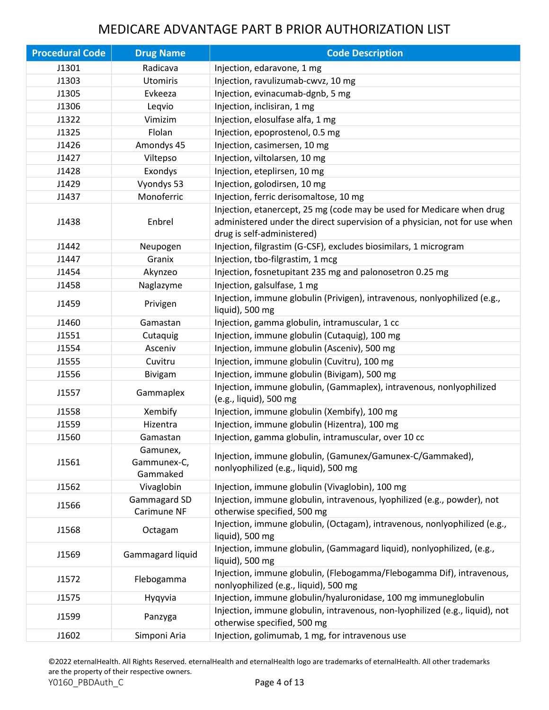| <b>Procedural Code</b> | <b>Drug Name</b>                    | <b>Code Description</b>                                                                                                                                                           |
|------------------------|-------------------------------------|-----------------------------------------------------------------------------------------------------------------------------------------------------------------------------------|
| J1301                  | Radicava                            | Injection, edaravone, 1 mg                                                                                                                                                        |
| J1303                  | <b>Utomiris</b>                     | Injection, ravulizumab-cwvz, 10 mg                                                                                                                                                |
| J1305                  | Evkeeza                             | Injection, evinacumab-dgnb, 5 mg                                                                                                                                                  |
| J1306                  | Leqvio                              | Injection, inclisiran, 1 mg                                                                                                                                                       |
| J1322                  | Vimizim                             | Injection, elosulfase alfa, 1 mg                                                                                                                                                  |
| J1325                  | Flolan                              | Injection, epoprostenol, 0.5 mg                                                                                                                                                   |
| J1426                  | Amondys 45                          | Injection, casimersen, 10 mg                                                                                                                                                      |
| J1427                  | Viltepso                            | Injection, viltolarsen, 10 mg                                                                                                                                                     |
| J1428                  | Exondys                             | Injection, eteplirsen, 10 mg                                                                                                                                                      |
| J1429                  | Vyondys 53                          | Injection, golodirsen, 10 mg                                                                                                                                                      |
| J1437                  | Monoferric                          | Injection, ferric derisomaltose, 10 mg                                                                                                                                            |
| J1438                  | Enbrel                              | Injection, etanercept, 25 mg (code may be used for Medicare when drug<br>administered under the direct supervision of a physician, not for use when<br>drug is self-administered) |
| J1442                  | Neupogen                            | Injection, filgrastim (G-CSF), excludes biosimilars, 1 microgram                                                                                                                  |
| J1447                  | Granix                              | Injection, tbo-filgrastim, 1 mcg                                                                                                                                                  |
| J1454                  | Akynzeo                             | Injection, fosnetupitant 235 mg and palonosetron 0.25 mg                                                                                                                          |
| J1458                  | Naglazyme                           | Injection, galsulfase, 1 mg                                                                                                                                                       |
| J1459                  | Privigen                            | Injection, immune globulin (Privigen), intravenous, nonlyophilized (e.g.,<br>liquid), 500 mg                                                                                      |
| J1460                  | Gamastan                            | Injection, gamma globulin, intramuscular, 1 cc                                                                                                                                    |
| J1551                  | Cutaquig                            | Injection, immune globulin (Cutaquig), 100 mg                                                                                                                                     |
| J1554                  | Asceniv                             | Injection, immune globulin (Asceniv), 500 mg                                                                                                                                      |
| J1555                  | Cuvitru                             | Injection, immune globulin (Cuvitru), 100 mg                                                                                                                                      |
| J1556                  | Bivigam                             | Injection, immune globulin (Bivigam), 500 mg                                                                                                                                      |
| J1557                  | Gammaplex                           | Injection, immune globulin, (Gammaplex), intravenous, nonlyophilized<br>(e.g., liquid), 500 mg                                                                                    |
| J1558                  | Xembify                             | Injection, immune globulin (Xembify), 100 mg                                                                                                                                      |
| J1559                  | Hizentra                            | Injection, immune globulin (Hizentra), 100 mg                                                                                                                                     |
| J1560                  | Gamastan                            | Injection, gamma globulin, intramuscular, over 10 cc                                                                                                                              |
| J1561                  | Gamunex,<br>Gammunex-C,<br>Gammaked | Injection, immune globulin, (Gamunex/Gamunex-C/Gammaked),<br>nonlyophilized (e.g., liquid), 500 mg                                                                                |
| J1562                  | Vivaglobin                          | Injection, immune globulin (Vivaglobin), 100 mg                                                                                                                                   |
| J1566                  | Gammagard SD<br>Carimune NF         | Injection, immune globulin, intravenous, lyophilized (e.g., powder), not<br>otherwise specified, 500 mg                                                                           |
| J1568                  | Octagam                             | Injection, immune globulin, (Octagam), intravenous, nonlyophilized (e.g.,<br>liquid), 500 mg                                                                                      |
| J1569                  | Gammagard liquid                    | Injection, immune globulin, (Gammagard liquid), nonlyophilized, (e.g.,<br>liquid), 500 mg                                                                                         |
| J1572                  | Flebogamma                          | Injection, immune globulin, (Flebogamma/Flebogamma Dif), intravenous,<br>nonlyophilized (e.g., liquid), 500 mg                                                                    |
| J1575                  | Hyqyvia                             | Injection, immune globulin/hyaluronidase, 100 mg immuneglobulin                                                                                                                   |
| J1599                  | Panzyga                             | Injection, immune globulin, intravenous, non-lyophilized (e.g., liquid), not<br>otherwise specified, 500 mg                                                                       |
| J1602                  | Simponi Aria                        | Injection, golimumab, 1 mg, for intravenous use                                                                                                                                   |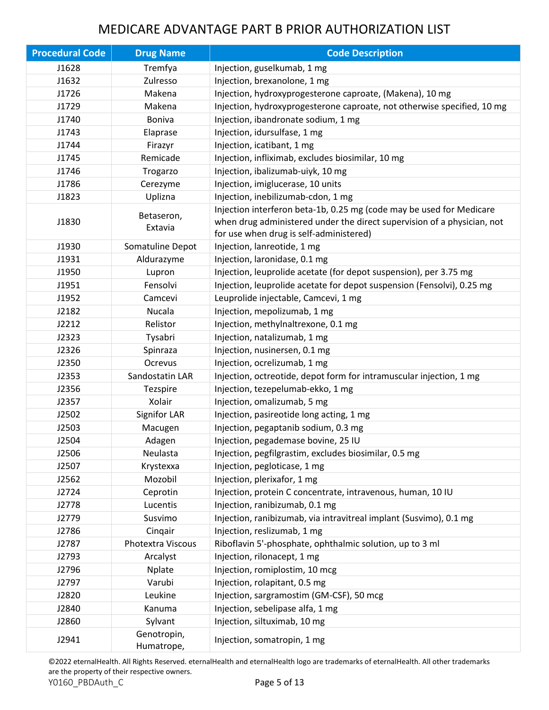| <b>Procedural Code</b> | <b>Drug Name</b>          | <b>Code Description</b>                                                                                                                                                                    |
|------------------------|---------------------------|--------------------------------------------------------------------------------------------------------------------------------------------------------------------------------------------|
| J1628                  | Tremfya                   | Injection, guselkumab, 1 mg                                                                                                                                                                |
| J1632                  | Zulresso                  | Injection, brexanolone, 1 mg                                                                                                                                                               |
| J1726                  | Makena                    | Injection, hydroxyprogesterone caproate, (Makena), 10 mg                                                                                                                                   |
| J1729                  | Makena                    | Injection, hydroxyprogesterone caproate, not otherwise specified, 10 mg                                                                                                                    |
| J1740                  | <b>Boniva</b>             | Injection, ibandronate sodium, 1 mg                                                                                                                                                        |
| J1743                  | Elaprase                  | Injection, idursulfase, 1 mg                                                                                                                                                               |
| J1744                  | Firazyr                   | Injection, icatibant, 1 mg                                                                                                                                                                 |
| J1745                  | Remicade                  | Injection, infliximab, excludes biosimilar, 10 mg                                                                                                                                          |
| J1746                  | Trogarzo                  | Injection, ibalizumab-uiyk, 10 mg                                                                                                                                                          |
| J1786                  | Cerezyme                  | Injection, imiglucerase, 10 units                                                                                                                                                          |
| J1823                  | Uplizna                   | Injection, inebilizumab-cdon, 1 mg                                                                                                                                                         |
| J1830                  | Betaseron,<br>Extavia     | Injection interferon beta-1b, 0.25 mg (code may be used for Medicare<br>when drug administered under the direct supervision of a physician, not<br>for use when drug is self-administered) |
| J1930                  | Somatuline Depot          | Injection, lanreotide, 1 mg                                                                                                                                                                |
| J1931                  | Aldurazyme                | Injection, laronidase, 0.1 mg                                                                                                                                                              |
| J1950                  | Lupron                    | Injection, leuprolide acetate (for depot suspension), per 3.75 mg                                                                                                                          |
| J1951                  | Fensolvi                  | Injection, leuprolide acetate for depot suspension (Fensolvi), 0.25 mg                                                                                                                     |
| J1952                  | Camcevi                   | Leuprolide injectable, Camcevi, 1 mg                                                                                                                                                       |
| J2182                  | Nucala                    | Injection, mepolizumab, 1 mg                                                                                                                                                               |
| J2212                  | Relistor                  | Injection, methylnaltrexone, 0.1 mg                                                                                                                                                        |
| J2323                  | Tysabri                   | Injection, natalizumab, 1 mg                                                                                                                                                               |
| J2326                  | Spinraza                  | Injection, nusinersen, 0.1 mg                                                                                                                                                              |
| J2350                  | Ocrevus                   | Injection, ocrelizumab, 1 mg                                                                                                                                                               |
| J2353                  | Sandostatin LAR           | Injection, octreotide, depot form for intramuscular injection, 1 mg                                                                                                                        |
| J2356                  | Tezspire                  | Injection, tezepelumab-ekko, 1 mg                                                                                                                                                          |
| J2357                  | Xolair                    | Injection, omalizumab, 5 mg                                                                                                                                                                |
| J2502                  | Signifor LAR              | Injection, pasireotide long acting, 1 mg                                                                                                                                                   |
| J2503                  | Macugen                   | Injection, pegaptanib sodium, 0.3 mg                                                                                                                                                       |
| J2504                  | Adagen                    | Injection, pegademase bovine, 25 IU                                                                                                                                                        |
| J2506                  | Neulasta                  | Injection, pegfilgrastim, excludes biosimilar, 0.5 mg                                                                                                                                      |
| J2507                  | Krystexxa                 | Injection, pegloticase, 1 mg                                                                                                                                                               |
| J2562                  | Mozobil                   | Injection, plerixafor, 1 mg                                                                                                                                                                |
| J2724                  | Ceprotin                  | Injection, protein C concentrate, intravenous, human, 10 IU                                                                                                                                |
| J2778                  | Lucentis                  | Injection, ranibizumab, 0.1 mg                                                                                                                                                             |
| J2779                  | Susvimo                   | Injection, ranibizumab, via intravitreal implant (Susvimo), 0.1 mg                                                                                                                         |
| J2786                  | Cinqair                   | Injection, reslizumab, 1 mg                                                                                                                                                                |
| J2787                  | Photextra Viscous         | Riboflavin 5'-phosphate, ophthalmic solution, up to 3 ml                                                                                                                                   |
| J2793                  | Arcalyst                  | Injection, rilonacept, 1 mg                                                                                                                                                                |
| J2796                  | Nplate                    | Injection, romiplostim, 10 mcg                                                                                                                                                             |
| J2797                  | Varubi                    | Injection, rolapitant, 0.5 mg                                                                                                                                                              |
| J2820                  | Leukine                   | Injection, sargramostim (GM-CSF), 50 mcg                                                                                                                                                   |
| J2840                  | Kanuma                    | Injection, sebelipase alfa, 1 mg                                                                                                                                                           |
| J2860                  | Sylvant                   | Injection, siltuximab, 10 mg                                                                                                                                                               |
| J2941                  | Genotropin,<br>Humatrope, | Injection, somatropin, 1 mg                                                                                                                                                                |

©2022 eternalHealth. All Rights Reserved. eternalHealth and eternalHealth logo are trademarks of eternalHealth. All other trademarks are the property of their respective owners. Y0160\_PBDAuth\_C Page 5 of 13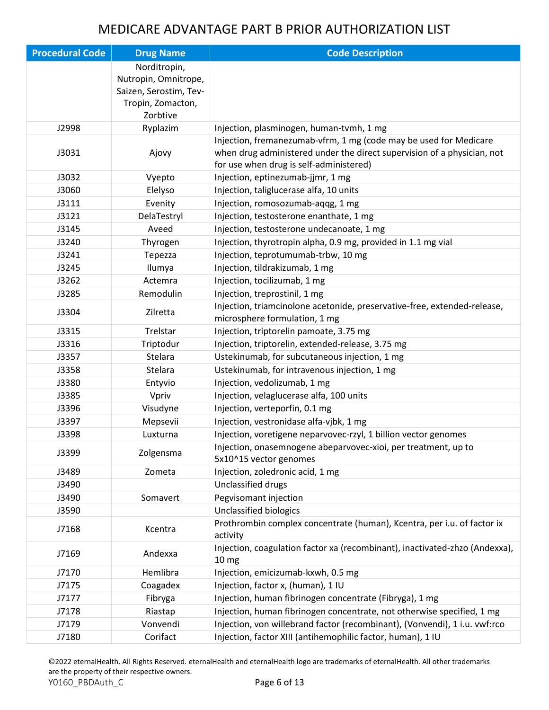| <b>Procedural Code</b> | <b>Drug Name</b>       | <b>Code Description</b>                                                     |
|------------------------|------------------------|-----------------------------------------------------------------------------|
|                        | Norditropin,           |                                                                             |
|                        | Nutropin, Omnitrope,   |                                                                             |
|                        | Saizen, Serostim, Tev- |                                                                             |
|                        | Tropin, Zomacton,      |                                                                             |
|                        | Zorbtive               |                                                                             |
| J2998                  | Ryplazim               | Injection, plasminogen, human-tvmh, 1 mg                                    |
|                        |                        | Injection, fremanezumab-vfrm, 1 mg (code may be used for Medicare           |
| J3031                  | Ajovy                  | when drug administered under the direct supervision of a physician, not     |
|                        |                        | for use when drug is self-administered)                                     |
| J3032                  | Vyepto                 | Injection, eptinezumab-jjmr, 1 mg                                           |
| J3060                  | Elelyso                | Injection, taliglucerase alfa, 10 units                                     |
| J3111                  | Evenity                | Injection, romosozumab-aqqg, 1 mg                                           |
| J3121                  | DelaTestryl            | Injection, testosterone enanthate, 1 mg                                     |
| J3145                  | Aveed                  | Injection, testosterone undecanoate, 1 mg                                   |
| J3240                  | Thyrogen               | Injection, thyrotropin alpha, 0.9 mg, provided in 1.1 mg vial               |
| J3241                  | Tepezza                | Injection, teprotumumab-trbw, 10 mg                                         |
| J3245                  | Ilumya                 | Injection, tildrakizumab, 1 mg                                              |
| J3262                  | Actemra                | Injection, tocilizumab, 1 mg                                                |
| J3285                  | Remodulin              | Injection, treprostinil, 1 mg                                               |
| J3304                  | Zilretta               | Injection, triamcinolone acetonide, preservative-free, extended-release,    |
|                        |                        | microsphere formulation, 1 mg                                               |
| J3315                  | Trelstar               | Injection, triptorelin pamoate, 3.75 mg                                     |
| J3316                  | Triptodur              | Injection, triptorelin, extended-release, 3.75 mg                           |
| J3357                  | Stelara                | Ustekinumab, for subcutaneous injection, 1 mg                               |
| J3358                  | Stelara                | Ustekinumab, for intravenous injection, 1 mg                                |
| J3380                  | Entyvio                | Injection, vedolizumab, 1 mg                                                |
| J3385                  | Vpriv                  | Injection, velaglucerase alfa, 100 units                                    |
| J3396                  | Visudyne               | Injection, verteporfin, 0.1 mg                                              |
| J3397                  | Mepsevii               | Injection, vestronidase alfa-vjbk, 1 mg                                     |
| J3398                  | Luxturna               | Injection, voretigene neparvovec-rzyl, 1 billion vector genomes             |
|                        |                        | Injection, onasemnogene abeparvovec-xioi, per treatment, up to              |
| J3399                  | Zolgensma              | 5x10^15 vector genomes                                                      |
| J3489                  | Zometa                 | Injection, zoledronic acid, 1 mg                                            |
| J3490                  |                        | Unclassified drugs                                                          |
| J3490                  | Somavert               | Pegvisomant injection                                                       |
| J3590                  |                        | Unclassified biologics                                                      |
|                        |                        | Prothrombin complex concentrate (human), Kcentra, per i.u. of factor ix     |
| J7168                  | Kcentra                | activity                                                                    |
|                        |                        | Injection, coagulation factor xa (recombinant), inactivated-zhzo (Andexxa), |
| J7169                  | Andexxa                | 10 <sub>mg</sub>                                                            |
| J7170                  | Hemlibra               | Injection, emicizumab-kxwh, 0.5 mg                                          |
| J7175                  | Coagadex               | Injection, factor x, (human), 1 IU                                          |
| J7177                  | Fibryga                | Injection, human fibrinogen concentrate (Fibryga), 1 mg                     |
| J7178                  | Riastap                | Injection, human fibrinogen concentrate, not otherwise specified, 1 mg      |
| J7179                  | Vonvendi               | Injection, von willebrand factor (recombinant), (Vonvendi), 1 i.u. vwf:rco  |
| J7180                  | Corifact               | Injection, factor XIII (antihemophilic factor, human), 1 IU                 |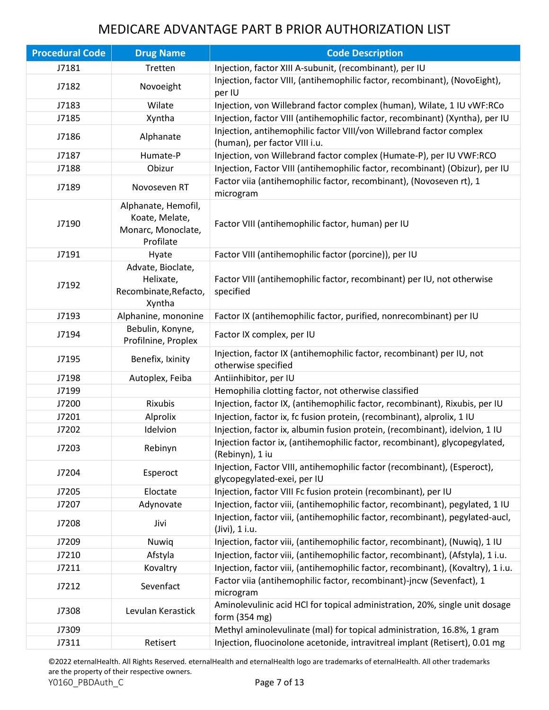| <b>Procedural Code</b> | <b>Drug Name</b>                                                         | <b>Code Description</b>                                                                                 |
|------------------------|--------------------------------------------------------------------------|---------------------------------------------------------------------------------------------------------|
| J7181                  | Tretten                                                                  | Injection, factor XIII A-subunit, (recombinant), per IU                                                 |
| J7182                  | Novoeight                                                                | Injection, factor VIII, (antihemophilic factor, recombinant), (NovoEight),<br>per IU                    |
| J7183                  | Wilate                                                                   | Injection, von Willebrand factor complex (human), Wilate, 1 IU vWF:RCo                                  |
| J7185                  | Xyntha                                                                   | Injection, factor VIII (antihemophilic factor, recombinant) (Xyntha), per IU                            |
| J7186                  | Alphanate                                                                | Injection, antihemophilic factor VIII/von Willebrand factor complex<br>(human), per factor VIII i.u.    |
| J7187                  | Humate-P                                                                 | Injection, von Willebrand factor complex (Humate-P), per IU VWF:RCO                                     |
| J7188                  | Obizur                                                                   | Injection, Factor VIII (antihemophilic factor, recombinant) (Obizur), per IU                            |
| J7189                  | Novoseven RT                                                             | Factor viia (antihemophilic factor, recombinant), (Novoseven rt), 1<br>microgram                        |
| J7190                  | Alphanate, Hemofil,<br>Koate, Melate,<br>Monarc, Monoclate,<br>Profilate | Factor VIII (antihemophilic factor, human) per IU                                                       |
| J7191                  | Hyate                                                                    | Factor VIII (antihemophilic factor (porcine)), per IU                                                   |
| J7192                  | Advate, Bioclate,<br>Helixate,<br>Recombinate, Refacto,<br>Xyntha        | Factor VIII (antihemophilic factor, recombinant) per IU, not otherwise<br>specified                     |
| J7193                  | Alphanine, mononine                                                      | Factor IX (antihemophilic factor, purified, nonrecombinant) per IU                                      |
| J7194                  | Bebulin, Konyne,<br>Profilnine, Proplex                                  | Factor IX complex, per IU                                                                               |
| J7195                  | Benefix, Ixinity                                                         | Injection, factor IX (antihemophilic factor, recombinant) per IU, not<br>otherwise specified            |
| J7198                  | Autoplex, Feiba                                                          | Antiinhibitor, per IU                                                                                   |
| J7199                  |                                                                          | Hemophilia clotting factor, not otherwise classified                                                    |
| J7200                  | Rixubis                                                                  | Injection, factor IX, (antihemophilic factor, recombinant), Rixubis, per IU                             |
| J7201                  | Alprolix                                                                 | Injection, factor ix, fc fusion protein, (recombinant), alprolix, 1 IU                                  |
| J7202                  | Idelvion                                                                 | Injection, factor ix, albumin fusion protein, (recombinant), idelvion, 1 IU                             |
| J7203                  | Rebinyn                                                                  | Injection factor ix, (antihemophilic factor, recombinant), glycopegylated,<br>(Rebinyn), 1 iu           |
| J7204                  | Esperoct                                                                 | Injection, Factor VIII, antihemophilic factor (recombinant), (Esperoct),<br>glycopegylated-exei, per IU |
| J7205                  | Eloctate                                                                 | Injection, factor VIII Fc fusion protein (recombinant), per IU                                          |
| J7207                  | Adynovate                                                                | Injection, factor viii, (antihemophilic factor, recombinant), pegylated, 1 IU                           |
| J7208                  | Jivi                                                                     | Injection, factor viii, (antihemophilic factor, recombinant), pegylated-aucl,<br>(Jivi), 1 i.u.         |
| J7209                  | Nuwiq                                                                    | Injection, factor viii, (antihemophilic factor, recombinant), (Nuwiq), 1 IU                             |
| J7210                  | Afstyla                                                                  | Injection, factor viii, (antihemophilic factor, recombinant), (Afstyla), 1 i.u.                         |
| J7211                  | Kovaltry                                                                 | Injection, factor viii, (antihemophilic factor, recombinant), (Kovaltry), 1 i.u.                        |
| J7212                  | Sevenfact                                                                | Factor viia (antihemophilic factor, recombinant)-jncw (Sevenfact), 1<br>microgram                       |
| J7308                  | Levulan Kerastick                                                        | Aminolevulinic acid HCl for topical administration, 20%, single unit dosage<br>form (354 mg)            |
| J7309                  |                                                                          | Methyl aminolevulinate (mal) for topical administration, 16.8%, 1 gram                                  |
| J7311                  | Retisert                                                                 | Injection, fluocinolone acetonide, intravitreal implant (Retisert), 0.01 mg                             |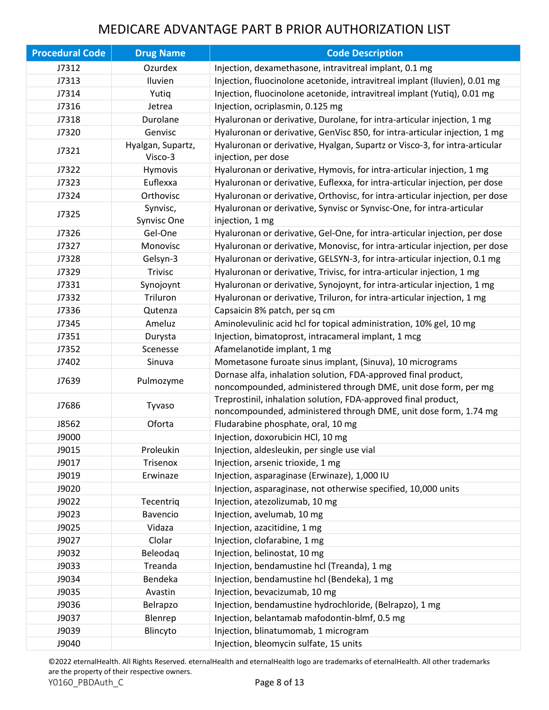| <b>Procedural Code</b> | <b>Drug Name</b>             | <b>Code Description</b>                                                                                                            |
|------------------------|------------------------------|------------------------------------------------------------------------------------------------------------------------------------|
| J7312                  | Ozurdex                      | Injection, dexamethasone, intravitreal implant, 0.1 mg                                                                             |
| J7313                  | Iluvien                      | Injection, fluocinolone acetonide, intravitreal implant (Iluvien), 0.01 mg                                                         |
| J7314                  | Yutiq                        | Injection, fluocinolone acetonide, intravitreal implant (Yutiq), 0.01 mg                                                           |
| J7316                  | Jetrea                       | Injection, ocriplasmin, 0.125 mg                                                                                                   |
| J7318                  | Durolane                     | Hyaluronan or derivative, Durolane, for intra-articular injection, 1 mg                                                            |
| J7320                  | Genvisc                      | Hyaluronan or derivative, GenVisc 850, for intra-articular injection, 1 mg                                                         |
| J7321                  | Hyalgan, Supartz,<br>Visco-3 | Hyaluronan or derivative, Hyalgan, Supartz or Visco-3, for intra-articular<br>injection, per dose                                  |
| J7322                  | Hymovis                      | Hyaluronan or derivative, Hymovis, for intra-articular injection, 1 mg                                                             |
| J7323                  | Euflexxa                     | Hyaluronan or derivative, Euflexxa, for intra-articular injection, per dose                                                        |
| J7324                  | Orthovisc                    | Hyaluronan or derivative, Orthovisc, for intra-articular injection, per dose                                                       |
| J7325                  | Synvisc,<br>Synvisc One      | Hyaluronan or derivative, Synvisc or Synvisc-One, for intra-articular<br>injection, 1 mg                                           |
| J7326                  | Gel-One                      | Hyaluronan or derivative, Gel-One, for intra-articular injection, per dose                                                         |
| J7327                  | Monovisc                     | Hyaluronan or derivative, Monovisc, for intra-articular injection, per dose                                                        |
| J7328                  | Gelsyn-3                     | Hyaluronan or derivative, GELSYN-3, for intra-articular injection, 0.1 mg                                                          |
| J7329                  | <b>Trivisc</b>               | Hyaluronan or derivative, Trivisc, for intra-articular injection, 1 mg                                                             |
| J7331                  | Synojoynt                    | Hyaluronan or derivative, Synojoynt, for intra-articular injection, 1 mg                                                           |
| J7332                  | Triluron                     | Hyaluronan or derivative, Triluron, for intra-articular injection, 1 mg                                                            |
| J7336                  | Qutenza                      | Capsaicin 8% patch, per sq cm                                                                                                      |
| J7345                  | Ameluz                       | Aminolevulinic acid hcl for topical administration, 10% gel, 10 mg                                                                 |
| J7351                  | Durysta                      | Injection, bimatoprost, intracameral implant, 1 mcg                                                                                |
| J7352                  | Scenesse                     | Afamelanotide implant, 1 mg                                                                                                        |
| J7402                  | Sinuva                       | Mometasone furoate sinus implant, (Sinuva), 10 micrograms                                                                          |
| J7639                  | Pulmozyme                    | Dornase alfa, inhalation solution, FDA-approved final product,<br>noncompounded, administered through DME, unit dose form, per mg  |
| J7686                  | Tyvaso                       | Treprostinil, inhalation solution, FDA-approved final product,<br>noncompounded, administered through DME, unit dose form, 1.74 mg |
| J8562                  | Oforta                       | Fludarabine phosphate, oral, 10 mg                                                                                                 |
| J9000                  |                              | Injection, doxorubicin HCl, 10 mg                                                                                                  |
| J9015                  | Proleukin                    | Injection, aldesleukin, per single use vial                                                                                        |
| J9017                  | Trisenox                     | Injection, arsenic trioxide, 1 mg                                                                                                  |
| J9019                  | Erwinaze                     | Injection, asparaginase (Erwinaze), 1,000 IU                                                                                       |
| J9020                  |                              | Injection, asparaginase, not otherwise specified, 10,000 units                                                                     |
| J9022                  | Tecentriq                    | Injection, atezolizumab, 10 mg                                                                                                     |
| J9023                  | Bavencio                     | Injection, avelumab, 10 mg                                                                                                         |
| J9025                  | Vidaza                       | Injection, azacitidine, 1 mg                                                                                                       |
| J9027                  | Clolar                       | Injection, clofarabine, 1 mg                                                                                                       |
| J9032                  | Beleodaq                     | Injection, belinostat, 10 mg                                                                                                       |
| J9033                  | Treanda                      | Injection, bendamustine hcl (Treanda), 1 mg                                                                                        |
| J9034                  | Bendeka                      | Injection, bendamustine hcl (Bendeka), 1 mg                                                                                        |
| J9035                  | Avastin                      | Injection, bevacizumab, 10 mg                                                                                                      |
| J9036                  | Belrapzo                     | Injection, bendamustine hydrochloride, (Belrapzo), 1 mg                                                                            |
| J9037                  | Blenrep                      | Injection, belantamab mafodontin-blmf, 0.5 mg                                                                                      |
| J9039                  | Blincyto                     | Injection, blinatumomab, 1 microgram                                                                                               |
| J9040                  |                              | Injection, bleomycin sulfate, 15 units                                                                                             |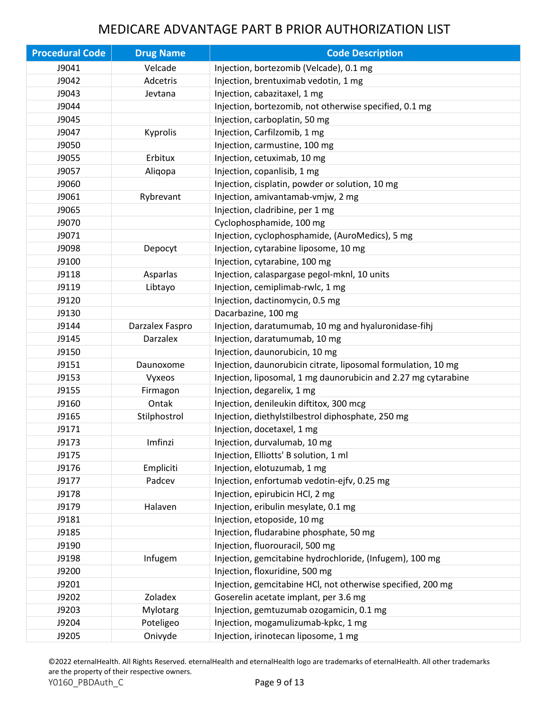| <b>Procedural Code</b> | <b>Drug Name</b> | <b>Code Description</b>                                        |
|------------------------|------------------|----------------------------------------------------------------|
| J9041                  | Velcade          | Injection, bortezomib (Velcade), 0.1 mg                        |
| J9042                  | Adcetris         | Injection, brentuximab vedotin, 1 mg                           |
| J9043                  | Jevtana          | Injection, cabazitaxel, 1 mg                                   |
| J9044                  |                  | Injection, bortezomib, not otherwise specified, 0.1 mg         |
| J9045                  |                  | Injection, carboplatin, 50 mg                                  |
| J9047                  | Kyprolis         | Injection, Carfilzomib, 1 mg                                   |
| J9050                  |                  | Injection, carmustine, 100 mg                                  |
| J9055                  | Erbitux          | Injection, cetuximab, 10 mg                                    |
| J9057                  | Aligopa          | Injection, copanlisib, 1 mg                                    |
| J9060                  |                  | Injection, cisplatin, powder or solution, 10 mg                |
| J9061                  | Rybrevant        | Injection, amivantamab-vmjw, 2 mg                              |
| J9065                  |                  | Injection, cladribine, per 1 mg                                |
| J9070                  |                  | Cyclophosphamide, 100 mg                                       |
| J9071                  |                  | Injection, cyclophosphamide, (AuroMedics), 5 mg                |
| J9098                  | Depocyt          | Injection, cytarabine liposome, 10 mg                          |
| J9100                  |                  | Injection, cytarabine, 100 mg                                  |
| J9118                  | Asparlas         | Injection, calaspargase pegol-mknl, 10 units                   |
| J9119                  | Libtayo          | Injection, cemiplimab-rwlc, 1 mg                               |
| J9120                  |                  | Injection, dactinomycin, 0.5 mg                                |
| J9130                  |                  | Dacarbazine, 100 mg                                            |
| J9144                  | Darzalex Faspro  | Injection, daratumumab, 10 mg and hyaluronidase-fihj           |
| J9145                  | <b>Darzalex</b>  | Injection, daratumumab, 10 mg                                  |
| J9150                  |                  | Injection, daunorubicin, 10 mg                                 |
| J9151                  | Daunoxome        | Injection, daunorubicin citrate, liposomal formulation, 10 mg  |
| J9153                  | Vyxeos           | Injection, liposomal, 1 mg daunorubicin and 2.27 mg cytarabine |
| J9155                  | Firmagon         | Injection, degarelix, 1 mg                                     |
| J9160                  | Ontak            | Injection, denileukin diftitox, 300 mcg                        |
| J9165                  | Stilphostrol     | Injection, diethylstilbestrol diphosphate, 250 mg              |
| J9171                  |                  | Injection, docetaxel, 1 mg                                     |
| J9173                  | Imfinzi          | Injection, durvalumab, 10 mg                                   |
| J9175                  |                  | Injection, Elliotts' B solution, 1 ml                          |
| J9176                  | Empliciti        | Injection, elotuzumab, 1 mg                                    |
| J9177                  | Padcev           | Injection, enfortumab vedotin-ejfv, 0.25 mg                    |
| J9178                  |                  | Injection, epirubicin HCl, 2 mg                                |
| J9179                  | Halaven          | Injection, eribulin mesylate, 0.1 mg                           |
| J9181                  |                  | Injection, etoposide, 10 mg                                    |
| J9185                  |                  | Injection, fludarabine phosphate, 50 mg                        |
| J9190                  |                  | Injection, fluorouracil, 500 mg                                |
| J9198                  | Infugem          | Injection, gemcitabine hydrochloride, (Infugem), 100 mg        |
| J9200                  |                  | Injection, floxuridine, 500 mg                                 |
| J9201                  |                  | Injection, gemcitabine HCl, not otherwise specified, 200 mg    |
| J9202                  | Zoladex          | Goserelin acetate implant, per 3.6 mg                          |
| J9203                  | Mylotarg         | Injection, gemtuzumab ozogamicin, 0.1 mg                       |
| J9204                  | Poteligeo        | Injection, mogamulizumab-kpkc, 1 mg                            |
| J9205                  | Onivyde          | Injection, irinotecan liposome, 1 mg                           |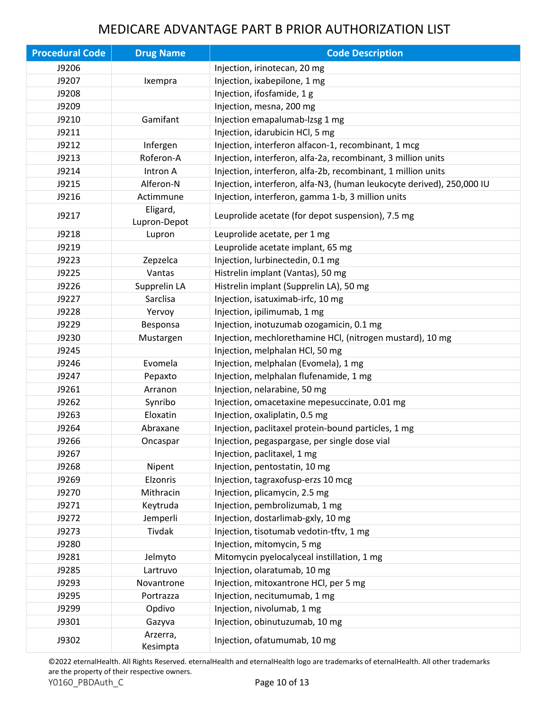| <b>Procedural Code</b> | <b>Drug Name</b>         | <b>Code Description</b>                                               |
|------------------------|--------------------------|-----------------------------------------------------------------------|
| J9206                  |                          | Injection, irinotecan, 20 mg                                          |
| J9207                  | Ixempra                  | Injection, ixabepilone, 1 mg                                          |
| J9208                  |                          | Injection, ifosfamide, 1 g                                            |
| J9209                  |                          | Injection, mesna, 200 mg                                              |
| J9210                  | Gamifant                 | Injection emapalumab-lzsg 1 mg                                        |
| J9211                  |                          | Injection, idarubicin HCl, 5 mg                                       |
| J9212                  | Infergen                 | Injection, interferon alfacon-1, recombinant, 1 mcg                   |
| J9213                  | Roferon-A                | Injection, interferon, alfa-2a, recombinant, 3 million units          |
| J9214                  | Intron A                 | Injection, interferon, alfa-2b, recombinant, 1 million units          |
| J9215                  | Alferon-N                | Injection, interferon, alfa-N3, (human leukocyte derived), 250,000 IU |
| J9216                  | Actimmune                | Injection, interferon, gamma 1-b, 3 million units                     |
| J9217                  | Eligard,<br>Lupron-Depot | Leuprolide acetate (for depot suspension), 7.5 mg                     |
| J9218                  | Lupron                   | Leuprolide acetate, per 1 mg                                          |
| J9219                  |                          | Leuprolide acetate implant, 65 mg                                     |
| J9223                  | Zepzelca                 | Injection, lurbinectedin, 0.1 mg                                      |
| J9225                  | Vantas                   | Histrelin implant (Vantas), 50 mg                                     |
| J9226                  | Supprelin LA             | Histrelin implant (Supprelin LA), 50 mg                               |
| J9227                  | Sarclisa                 | Injection, isatuximab-irfc, 10 mg                                     |
| J9228                  | Yervoy                   | Injection, ipilimumab, 1 mg                                           |
| J9229                  | Besponsa                 | Injection, inotuzumab ozogamicin, 0.1 mg                              |
| J9230                  | Mustargen                | Injection, mechlorethamine HCl, (nitrogen mustard), 10 mg             |
| J9245                  |                          | Injection, melphalan HCl, 50 mg                                       |
| J9246                  | Evomela                  | Injection, melphalan (Evomela), 1 mg                                  |
| J9247                  | Pepaxto                  | Injection, melphalan flufenamide, 1 mg                                |
| J9261                  | Arranon                  | Injection, nelarabine, 50 mg                                          |
| J9262                  | Synribo                  | Injection, omacetaxine mepesuccinate, 0.01 mg                         |
| J9263                  | Eloxatin                 | Injection, oxaliplatin, 0.5 mg                                        |
| J9264                  | Abraxane                 | Injection, paclitaxel protein-bound particles, 1 mg                   |
| J9266                  | Oncaspar                 | Injection, pegaspargase, per single dose vial                         |
| J9267                  |                          | Injection, paclitaxel, 1 mg                                           |
| J9268                  | Nipent                   | Injection, pentostatin, 10 mg                                         |
| J9269                  | Elzonris                 | Injection, tagraxofusp-erzs 10 mcg                                    |
| J9270                  | Mithracin                | Injection, plicamycin, 2.5 mg                                         |
| J9271                  | Keytruda                 | Injection, pembrolizumab, 1 mg                                        |
| J9272                  | Jemperli                 | Injection, dostarlimab-gxly, 10 mg                                    |
| J9273                  | Tivdak                   | Injection, tisotumab vedotin-tftv, 1 mg                               |
| J9280                  |                          | Injection, mitomycin, 5 mg                                            |
| J9281                  | Jelmyto                  | Mitomycin pyelocalyceal instillation, 1 mg                            |
| J9285                  | Lartruvo                 | Injection, olaratumab, 10 mg                                          |
| J9293                  | Novantrone               | Injection, mitoxantrone HCl, per 5 mg                                 |
| J9295                  | Portrazza                | Injection, necitumumab, 1 mg                                          |
| J9299                  | Opdivo                   | Injection, nivolumab, 1 mg                                            |
| J9301                  | Gazyva                   | Injection, obinutuzumab, 10 mg                                        |
| J9302                  | Arzerra,<br>Kesimpta     | Injection, ofatumumab, 10 mg                                          |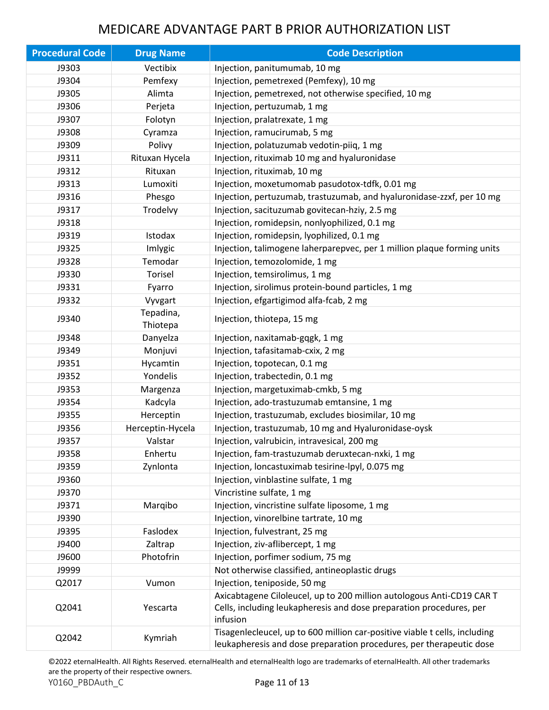| <b>Procedural Code</b> | <b>Drug Name</b>      | <b>Code Description</b>                                                                                                                                  |
|------------------------|-----------------------|----------------------------------------------------------------------------------------------------------------------------------------------------------|
| J9303                  | Vectibix              | Injection, panitumumab, 10 mg                                                                                                                            |
| J9304                  | Pemfexy               | Injection, pemetrexed (Pemfexy), 10 mg                                                                                                                   |
| J9305                  | Alimta                | Injection, pemetrexed, not otherwise specified, 10 mg                                                                                                    |
| J9306                  | Perjeta               | Injection, pertuzumab, 1 mg                                                                                                                              |
| J9307                  | Folotyn               | Injection, pralatrexate, 1 mg                                                                                                                            |
| J9308                  | Cyramza               | Injection, ramucirumab, 5 mg                                                                                                                             |
| J9309                  | Polivy                | Injection, polatuzumab vedotin-piiq, 1 mg                                                                                                                |
| J9311                  | Rituxan Hycela        | Injection, rituximab 10 mg and hyaluronidase                                                                                                             |
| J9312                  | Rituxan               | Injection, rituximab, 10 mg                                                                                                                              |
| J9313                  | Lumoxiti              | Injection, moxetumomab pasudotox-tdfk, 0.01 mg                                                                                                           |
| J9316                  | Phesgo                | Injection, pertuzumab, trastuzumab, and hyaluronidase-zzxf, per 10 mg                                                                                    |
| J9317                  | Trodelvy              | Injection, sacituzumab govitecan-hziy, 2.5 mg                                                                                                            |
| J9318                  |                       | Injection, romidepsin, nonlyophilized, 0.1 mg                                                                                                            |
| J9319                  | Istodax               | Injection, romidepsin, lyophilized, 0.1 mg                                                                                                               |
| J9325                  | Imlygic               | Injection, talimogene laherparepvec, per 1 million plaque forming units                                                                                  |
| J9328                  | Temodar               | Injection, temozolomide, 1 mg                                                                                                                            |
| J9330                  | <b>Torisel</b>        | Injection, temsirolimus, 1 mg                                                                                                                            |
| J9331                  | Fyarro                | Injection, sirolimus protein-bound particles, 1 mg                                                                                                       |
| J9332                  | Vyvgart               | Injection, efgartigimod alfa-fcab, 2 mg                                                                                                                  |
| J9340                  | Tepadina,<br>Thiotepa | Injection, thiotepa, 15 mg                                                                                                                               |
| J9348                  | Danyelza              | Injection, naxitamab-gqgk, 1 mg                                                                                                                          |
| J9349                  | Monjuvi               | Injection, tafasitamab-cxix, 2 mg                                                                                                                        |
| J9351                  | Hycamtin              | Injection, topotecan, 0.1 mg                                                                                                                             |
| J9352                  | Yondelis              | Injection, trabectedin, 0.1 mg                                                                                                                           |
| J9353                  | Margenza              | Injection, margetuximab-cmkb, 5 mg                                                                                                                       |
| J9354                  | Kadcyla               | Injection, ado-trastuzumab emtansine, 1 mg                                                                                                               |
| J9355                  | Herceptin             | Injection, trastuzumab, excludes biosimilar, 10 mg                                                                                                       |
| J9356                  | Herceptin-Hycela      | Injection, trastuzumab, 10 mg and Hyaluronidase-oysk                                                                                                     |
| J9357                  | Valstar               | Injection, valrubicin, intravesical, 200 mg                                                                                                              |
| J9358                  | Enhertu               | Injection, fam-trastuzumab deruxtecan-nxki, 1 mg                                                                                                         |
| J9359                  | Zynlonta              | Injection, loncastuximab tesirine-lpyl, 0.075 mg                                                                                                         |
| J9360                  |                       | Injection, vinblastine sulfate, 1 mg                                                                                                                     |
| J9370                  |                       | Vincristine sulfate, 1 mg                                                                                                                                |
| J9371                  | Marqibo               | Injection, vincristine sulfate liposome, 1 mg                                                                                                            |
| J9390                  |                       | Injection, vinorelbine tartrate, 10 mg                                                                                                                   |
| J9395                  | Faslodex              | Injection, fulvestrant, 25 mg                                                                                                                            |
| J9400                  | Zaltrap               | Injection, ziv-aflibercept, 1 mg                                                                                                                         |
| J9600                  | Photofrin             | Injection, porfimer sodium, 75 mg                                                                                                                        |
| J9999                  |                       | Not otherwise classified, antineoplastic drugs                                                                                                           |
| Q2017                  | Vumon                 | Injection, teniposide, 50 mg                                                                                                                             |
| Q2041                  | Yescarta              | Axicabtagene Ciloleucel, up to 200 million autologous Anti-CD19 CAR T<br>Cells, including leukapheresis and dose preparation procedures, per<br>infusion |
| Q2042                  | Kymriah               | Tisagenlecleucel, up to 600 million car-positive viable t cells, including<br>leukapheresis and dose preparation procedures, per therapeutic dose        |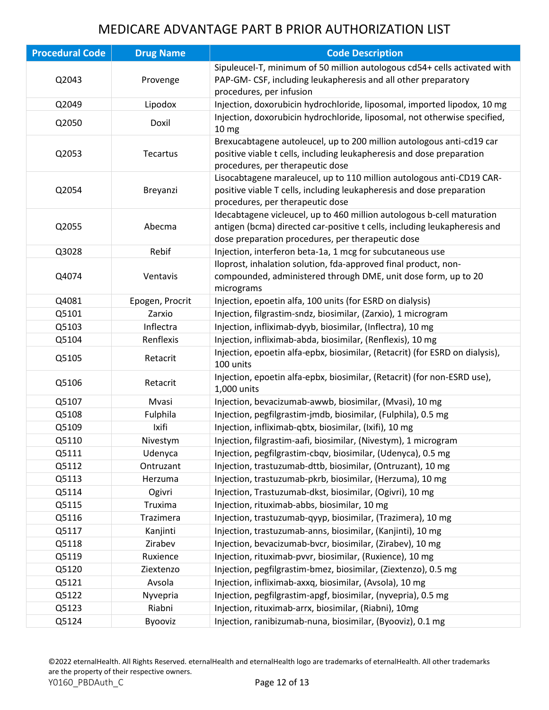| <b>Procedural Code</b> | <b>Drug Name</b> | <b>Code Description</b>                                                                                                                                                                                  |
|------------------------|------------------|----------------------------------------------------------------------------------------------------------------------------------------------------------------------------------------------------------|
| Q2043                  | Provenge         | Sipuleucel-T, minimum of 50 million autologous cd54+ cells activated with<br>PAP-GM- CSF, including leukapheresis and all other preparatory<br>procedures, per infusion                                  |
| Q2049                  | Lipodox          | Injection, doxorubicin hydrochloride, liposomal, imported lipodox, 10 mg                                                                                                                                 |
| Q2050                  | Doxil            | Injection, doxorubicin hydrochloride, liposomal, not otherwise specified,<br>10 mg                                                                                                                       |
| Q2053                  | Tecartus         | Brexucabtagene autoleucel, up to 200 million autologous anti-cd19 car<br>positive viable t cells, including leukapheresis and dose preparation<br>procedures, per therapeutic dose                       |
| Q2054                  | Breyanzi         | Lisocabtagene maraleucel, up to 110 million autologous anti-CD19 CAR-<br>positive viable T cells, including leukapheresis and dose preparation<br>procedures, per therapeutic dose                       |
| Q2055                  | Abecma           | Idecabtagene vicleucel, up to 460 million autologous b-cell maturation<br>antigen (bcma) directed car-positive t cells, including leukapheresis and<br>dose preparation procedures, per therapeutic dose |
| Q3028                  | Rebif            | Injection, interferon beta-1a, 1 mcg for subcutaneous use                                                                                                                                                |
| Q4074                  | Ventavis         | Iloprost, inhalation solution, fda-approved final product, non-<br>compounded, administered through DME, unit dose form, up to 20<br>micrograms                                                          |
| Q4081                  | Epogen, Procrit  | Injection, epoetin alfa, 100 units (for ESRD on dialysis)                                                                                                                                                |
| Q5101                  | Zarxio           | Injection, filgrastim-sndz, biosimilar, (Zarxio), 1 microgram                                                                                                                                            |
| Q5103                  | Inflectra        | Injection, infliximab-dyyb, biosimilar, (Inflectra), 10 mg                                                                                                                                               |
| Q5104                  | Renflexis        | Injection, infliximab-abda, biosimilar, (Renflexis), 10 mg                                                                                                                                               |
| Q5105                  | Retacrit         | Injection, epoetin alfa-epbx, biosimilar, (Retacrit) (for ESRD on dialysis),<br>100 units                                                                                                                |
| Q5106                  | Retacrit         | Injection, epoetin alfa-epbx, biosimilar, (Retacrit) (for non-ESRD use),<br>1,000 units                                                                                                                  |
| Q5107                  | Mvasi            | Injection, bevacizumab-awwb, biosimilar, (Mvasi), 10 mg                                                                                                                                                  |
| Q5108                  | Fulphila         | Injection, pegfilgrastim-jmdb, biosimilar, (Fulphila), 0.5 mg                                                                                                                                            |
| Q5109                  | Ixifi            | Injection, infliximab-qbtx, biosimilar, (Ixifi), 10 mg                                                                                                                                                   |
| Q5110                  | Nivestym         | Injection, filgrastim-aafi, biosimilar, (Nivestym), 1 microgram                                                                                                                                          |
| Q5111                  | Udenyca          | Injection, pegfilgrastim-cbqv, biosimilar, (Udenyca), 0.5 mg                                                                                                                                             |
| Q5112                  | Ontruzant        | Injection, trastuzumab-dttb, biosimilar, (Ontruzant), 10 mg                                                                                                                                              |
| Q5113                  | Herzuma          | Injection, trastuzumab-pkrb, biosimilar, (Herzuma), 10 mg                                                                                                                                                |
| Q5114                  | Ogivri           | Injection, Trastuzumab-dkst, biosimilar, (Ogivri), 10 mg                                                                                                                                                 |
| Q5115                  | Truxima          | Injection, rituximab-abbs, biosimilar, 10 mg                                                                                                                                                             |
| Q5116                  | Trazimera        | Injection, trastuzumab-qyyp, biosimilar, (Trazimera), 10 mg                                                                                                                                              |
| Q5117                  | Kanjinti         | Injection, trastuzumab-anns, biosimilar, (Kanjinti), 10 mg                                                                                                                                               |
| Q5118                  | Zirabev          | Injection, bevacizumab-bvcr, biosimilar, (Zirabev), 10 mg                                                                                                                                                |
| Q5119                  | Ruxience         | Injection, rituximab-pvvr, biosimilar, (Ruxience), 10 mg                                                                                                                                                 |
| Q5120                  | Ziextenzo        | Injection, pegfilgrastim-bmez, biosimilar, (Ziextenzo), 0.5 mg                                                                                                                                           |
| Q5121                  | Avsola           | Injection, infliximab-axxq, biosimilar, (Avsola), 10 mg                                                                                                                                                  |
| Q5122                  | Nyvepria         | Injection, pegfilgrastim-apgf, biosimilar, (nyvepria), 0.5 mg                                                                                                                                            |
| Q5123                  | Riabni           | Injection, rituximab-arrx, biosimilar, (Riabni), 10mg                                                                                                                                                    |
| Q5124                  | Byooviz          | Injection, ranibizumab-nuna, biosimilar, (Byooviz), 0.1 mg                                                                                                                                               |